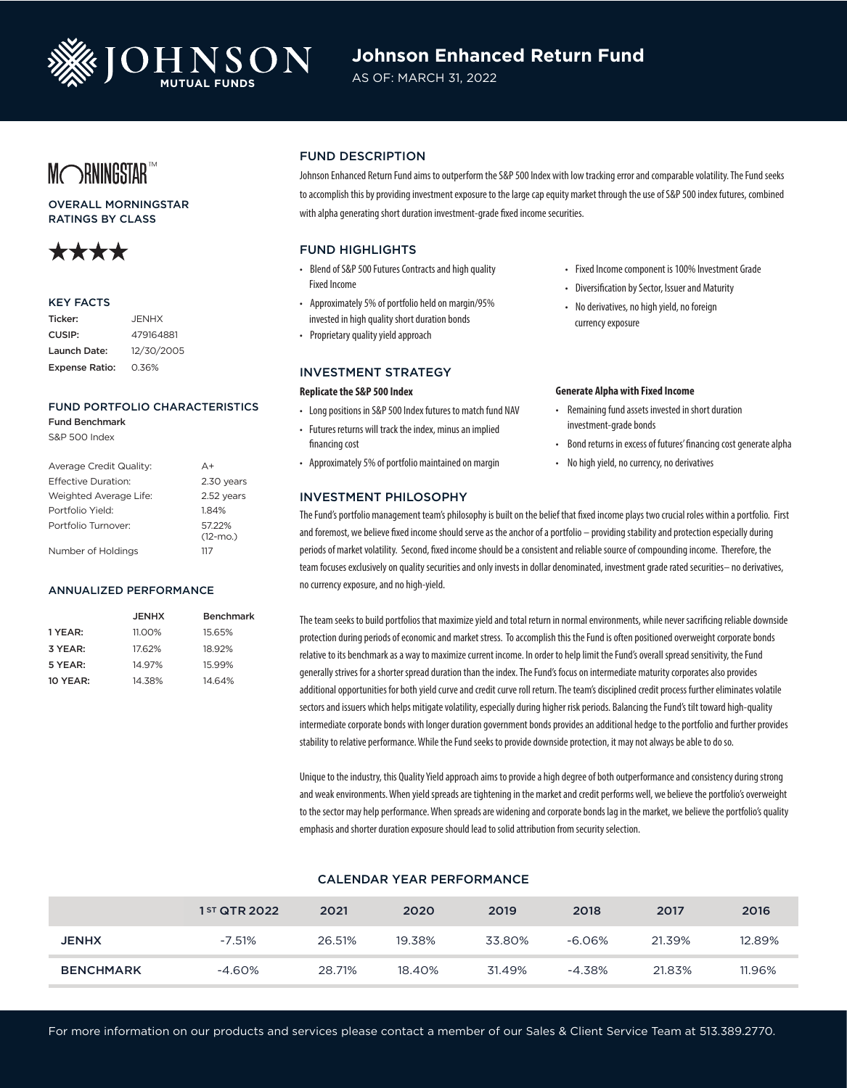

# **Johnson Enhanced Return Fund**

AS OF: MARCH 31, 2022

# MORNINGSTART

# OVERALL MORNINGSTAR RATINGS BY CLASS



## KEY FACTS

| Ticker:               | <b>JENHX</b> |
|-----------------------|--------------|
| CUSIP:                | 479164881    |
| Launch Date:          | 12/30/2005   |
| <b>Expense Ratio:</b> | 0.36%        |

# FUND PORTFOLIO CHARACTERISTICS

Fund Benchmark S&P 500 Index

| Average Credit Quality:    | A+                   |
|----------------------------|----------------------|
| <b>Effective Duration:</b> | 2.30 years           |
| Weighted Average Life:     | 2.52 years           |
| Portfolio Yield:           | 1.84%                |
| Portfolio Turnover:        | 5722%<br>$(12 - mO)$ |
| Number of Holdings         | 117                  |

#### ANNUALIZED PERFORMANCE

|                 | <b>JENHX</b> | Benchmark |
|-----------------|--------------|-----------|
| 1 YEAR:         | 11.00%       | 15.65%    |
| 3 YEAR:         | 17.62%       | 18.92%    |
| 5 YEAR:         | 14.97%       | 15.99%    |
| <b>10 YEAR:</b> | 14.38%       | 14.64%    |

# FUND DESCRIPTION

Johnson Enhanced Return Fund aims to outperform the S&P 500 Index with low tracking error and comparable volatility. The Fund seeks to accomplish this by providing investment exposure to the large cap equity market through the use of S&P 500 index futures, combined with alpha generating short duration investment-grade fixed income securities.

# FUND HIGHLIGHTS

- Blend of S&P 500 Futures Contracts and high quality Fixed Income
- Approximately 5% of portfolio held on margin/95% invested in high quality short duration bonds
- Proprietary quality yield approach

## INVESTMENT STRATEGY

# **Replicate the S&P 500 Index**

- Long positions in S&P 500 Index futures to match fund NAV
- Futures returns will track the index, minus an implied financing cost
- Approximately 5% of portfolio maintained on margin

# INVESTMENT PHILOSOPHY

- Fixed Income component is 100% Investment Grade
- Diversification by Sector, Issuer and Maturity
- No derivatives, no high yield, no foreign currency exposure

#### **Generate Alpha with Fixed Income**

- Remaining fund assets invested in short duration investment-grade bonds
- Bond returns in excess of futures' financing cost generate alpha
- No high yield, no currency, no derivatives

The Fund's portfolio management team's philosophy is built on the belief that fixed income plays two crucial roles within a portfolio. First and foremost, we believe fixed income should serve as the anchor of a portfolio – providing stability and protection especially during periods of market volatility. Second, fixed income should be a consistent and reliable source of compounding income. Therefore, the team focuses exclusively on quality securities and only invests in dollar denominated, investment grade rated securities– no derivatives, no currency exposure, and no high-yield.

The team seeks to build portfolios that maximize yield and total return in normal environments, while never sacrificing reliable downside protection during periods of economic and market stress. To accomplish this the Fund is often positioned overweight corporate bonds relative to its benchmark as a way to maximize current income. In order to help limit the Fund's overall spread sensitivity, the Fund generally strives for a shorter spread duration than the index. The Fund's focus on intermediate maturity corporates also provides additional opportunities for both yield curve and credit curve roll return. The team's disciplined credit process further eliminates volatile sectors and issuers which helps mitigate volatility, especially during higher risk periods. Balancing the Fund's tilt toward high-quality intermediate corporate bonds with longer duration government bonds provides an additional hedge to the portfolio and further provides stability to relative performance. While the Fund seeks to provide downside protection, it may not always be able to do so.

Unique to the industry, this Quality Yield approach aims to provide a high degree of both outperformance and consistency during strong and weak environments. When yield spreads are tightening in the market and credit performs well, we believe the portfolio's overweight to the sector may help performance. When spreads are widening and corporate bonds lag in the market, we believe the portfolio's quality emphasis and shorter duration exposure should lead to solid attribution from security selection.

# CALENDAR YEAR PERFORMANCE

|                  | 1 <sup>ST</sup> QTR 2022 | 2021   | 2020   | 2019   | 2018      | 2017   | 2016   |
|------------------|--------------------------|--------|--------|--------|-----------|--------|--------|
| <b>JENHX</b>     | $-7.51%$                 | 26.51% | 19.38% | 33.80% | $-6.06%$  | 21.39% | 12.89% |
| <b>BENCHMARK</b> | $-4.60\%$                | 28.71% | 18.40% | 31.49% | $-4.38\%$ | 21.83% | 11.96% |